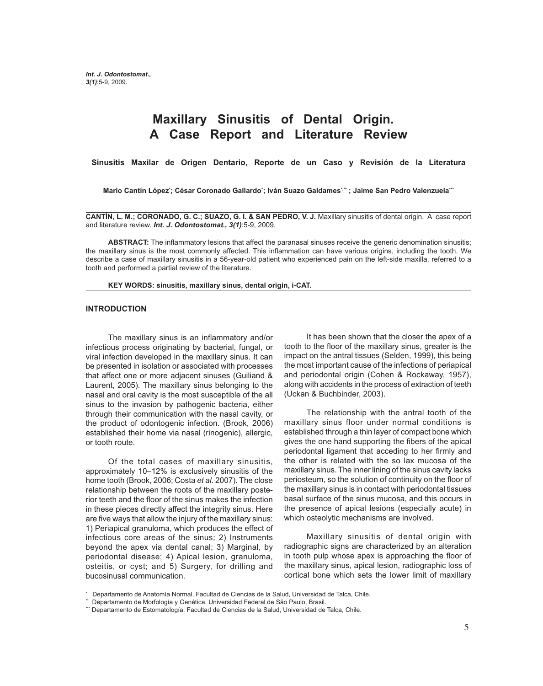# **Maxillary Sinusitis of Dental Origin. A Case Report and Literature Review**

**Sinusitis Maxilar de Origen Dentario, Reporte de un Caso y Revisión de la Literatura**

Mario Cantín López<sup>•</sup>; César Coronado Gallardo<sup>•</sup>; Iván Suazo Galdames<sup>⊹</sup>\* ; Jaime San Pedro Valenzuela<sup>··</sup>\*

**CANTÍN, L. M.; CORONADO, G. C.; SUAZO, G. I. & SAN PEDRO, V. J.** Maxillary sinusitis of dental origin. A case report and literature review. *Int. J. Odontostomat., 3(1)*:5-9, 2009.

**ABSTRACT:** The inflammatory lesions that affect the paranasal sinuses receive the generic denomination sinusitis; the maxillary sinus is the most commonly affected. This inflammation can have various origins, including the tooth. We describe a case of maxillary sinusitis in a 56-year-old patient who experienced pain on the left-side maxilla, referred to a tooth and performed a partial review of the literature.

**KEY WORDS: sinusitis, maxillary sinus, dental origin, i-CAT.**

#### **INTRODUCTION**

The maxillary sinus is an inflammatory and/or infectious process originating by bacterial, fungal, or viral infection developed in the maxillary sinus. It can be presented in isolation or associated with processes that affect one or more adjacent sinuses (Guiliand & Laurent, 2005). The maxillary sinus belonging to the nasal and oral cavity is the most susceptible of the all sinus to the invasion by pathogenic bacteria, either through their communication with the nasal cavity, or the product of odontogenic infection. (Brook, 2006) established their home via nasal (rinogenic), allergic, or tooth route.

Of the total cases of maxillary sinusitis, approximately 10–12% is exclusively sinusitis of the home tooth (Brook, 2006; Costa *et al*. 2007). The close relationship between the roots of the maxillary posterior teeth and the floor of the sinus makes the infection in these pieces directly affect the integrity sinus. Here are five ways that allow the injury of the maxillary sinus: 1) Periapical granuloma, which produces the effect of infectious core areas of the sinus; 2) Instruments beyond the apex via dental canal; 3) Marginal, by periodontal disease; 4) Apical lesion, granuloma, osteitis, or cyst; and 5) Surgery, for drilling and bucosinusal communication.

It has been shown that the closer the apex of a tooth to the floor of the maxillary sinus, greater is the impact on the antral tissues (Selden, 1999), this being the most important cause of the infections of periapical and periodontal origin (Cohen & Rockaway, 1957), along with accidents in the process of extraction of teeth (Uckan & Buchbinder, 2003).

The relationship with the antral tooth of the maxillary sinus floor under normal conditions is established through a thin layer of compact bone which gives the one hand supporting the fibers of the apical periodontal ligament that acceding to her firmly and the other is related with the so lax mucosa of the maxillary sinus. The inner lining of the sinus cavity lacks periosteum, so the solution of continuity on the floor of the maxillary sinus is in contact with periodontal tissues basal surface of the sinus mucosa, and this occurs in the presence of apical lesions (especially acute) in which osteolytic mechanisms are involved.

 Maxillary sinusitis of dental origin with radiographic signs are characterized by an alteration in tooth pulp whose apex is approaching the floor of the maxillary sinus, apical lesion, radiographic loss of cortical bone which sets the lower limit of maxillary

<sup>\*</sup> Departamento de Anatomía Normal, Facultad de Ciencias de la Salud, Universidad de Talca, Chile.

<sup>\*\*</sup> Departamento de Morfología y Genética. Universidad Federal de São Paulo, Brasil.

<sup>\*\*\*</sup> Departamento de Estomatología. Facultad de Ciencias de la Salud, Universidad de Talca, Chile.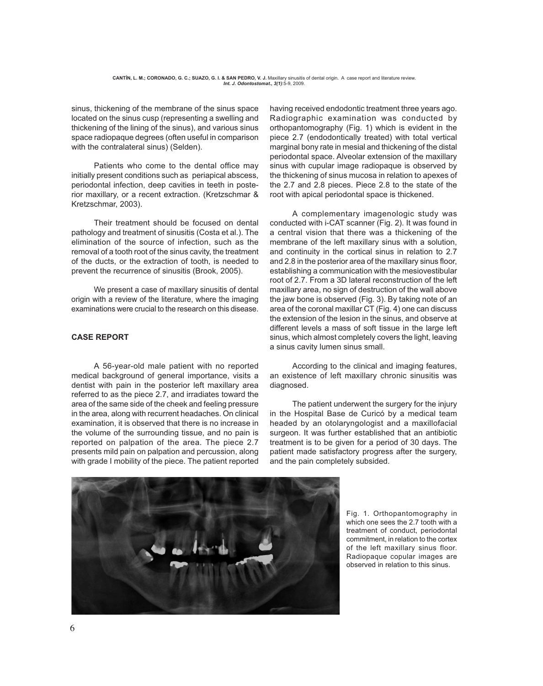sinus, thickening of the membrane of the sinus space located on the sinus cusp (representing a swelling and thickening of the lining of the sinus), and various sinus space radiopaque degrees (often useful in comparison with the contralateral sinus) (Selden).

Patients who come to the dental office may initially present conditions such as periapical abscess, periodontal infection, deep cavities in teeth in posterior maxillary, or a recent extraction. (Kretzschmar & Kretzschmar, 2003).

Their treatment should be focused on dental pathology and treatment of sinusitis (Costa et al.). The elimination of the source of infection, such as the removal of a tooth root of the sinus cavity, the treatment of the ducts, or the extraction of tooth, is needed to prevent the recurrence of sinusitis (Brook, 2005).

We present a case of maxillary sinusitis of dental origin with a review of the literature, where the imaging examinations were crucial to the research on this disease.

## **CASE REPORT**

A 56-year-old male patient with no reported medical background of general importance, visits a dentist with pain in the posterior left maxillary area referred to as the piece 2.7, and irradiates toward the area of the same side of the cheek and feeling pressure in the area, along with recurrent headaches. On clinical examination, it is observed that there is no increase in the volume of the surrounding tissue, and no pain is reported on palpation of the area. The piece 2.7 presents mild pain on palpation and percussion, along with grade I mobility of the piece. The patient reported having received endodontic treatment three years ago. Radiographic examination was conducted by orthopantomography (Fig. 1) which is evident in the piece 2.7 (endodontically treated) with total vertical marginal bony rate in mesial and thickening of the distal periodontal space. Alveolar extension of the maxillary sinus with cupular image radiopaque is observed by the thickening of sinus mucosa in relation to apexes of the 2.7 and 2.8 pieces. Piece 2.8 to the state of the root with apical periodontal space is thickened.

A complementary imagenologic study was conducted with i-CAT scanner (Fig. 2). It was found in a central vision that there was a thickening of the membrane of the left maxillary sinus with a solution, and continuity in the cortical sinus in relation to 2.7 and 2.8 in the posterior area of the maxillary sinus floor, establishing a communication with the mesiovestibular root of 2.7. From a 3D lateral reconstruction of the left maxillary area, no sign of destruction of the wall above the jaw bone is observed (Fig. 3). By taking note of an area of the coronal maxillar CT (Fig. 4) one can discuss the extension of the lesion in the sinus, and observe at different levels a mass of soft tissue in the large left sinus, which almost completely covers the light, leaving a sinus cavity lumen sinus small.

According to the clinical and imaging features, an existence of left maxillary chronic sinusitis was diagnosed.

The patient underwent the surgery for the injury in the Hospital Base de Curicó by a medical team headed by an otolaryngologist and a maxillofacial surgeon. It was further established that an antibiotic treatment is to be given for a period of 30 days. The patient made satisfactory progress after the surgery, and the pain completely subsided.



Fig. 1. Orthopantomography in which one sees the 2.7 tooth with a treatment of conduct, periodontal commitment, in relation to the cortex of the left maxillary sinus floor. Radiopaque copular images are observed in relation to this sinus.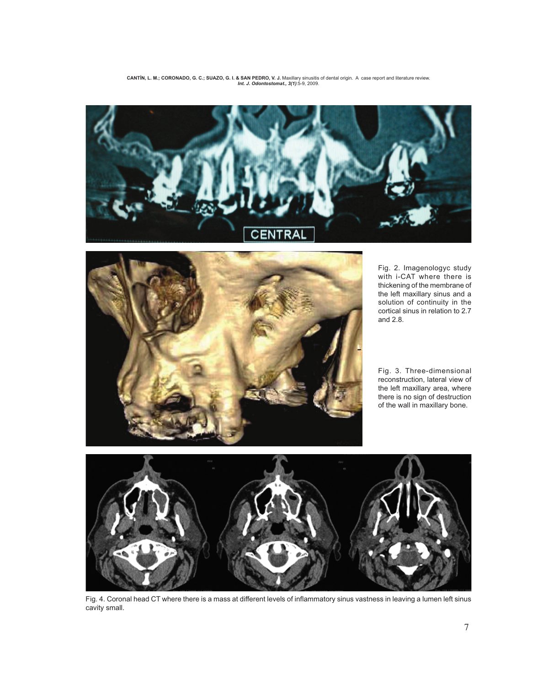



Fig. 2. Imagenologyc study with i-CAT where there is thickening of the membrane of the left maxillary sinus and a solution of continuity in the cortical sinus in relation to 2.7 and 2.8.

Fig. 3. Three-dimensional reconstruction, lateral view of the left maxillary area, where there is no sign of destruction of the wall in maxillary bone.



Fig. 4. Coronal head CT where there is a mass at different levels of inflammatory sinus vastness in leaving a lumen left sinus cavity small.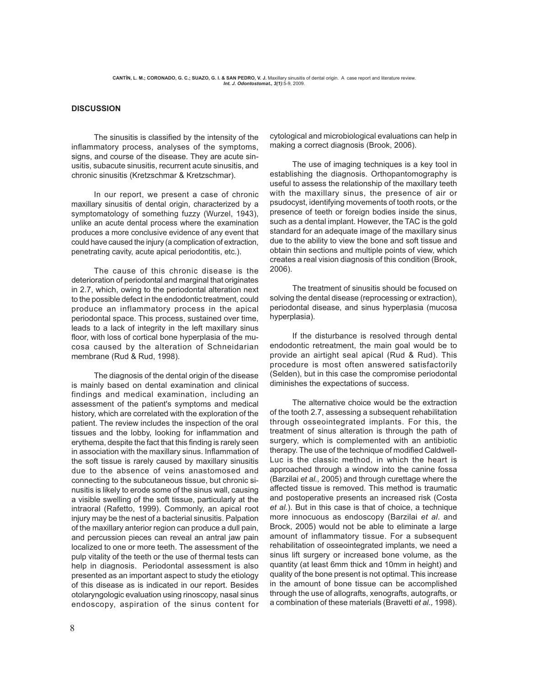#### **DISCUSSION**

The sinusitis is classified by the intensity of the inflammatory process, analyses of the symptoms, signs, and course of the disease. They are acute sinusitis, subacute sinusitis, recurrent acute sinusitis, and chronic sinusitis (Kretzschmar & Kretzschmar).

In our report, we present a case of chronic maxillary sinusitis of dental origin, characterized by a symptomatology of something fuzzy (Wurzel, 1943), unlike an acute dental process where the examination produces a more conclusive evidence of any event that could have caused the injury (a complication of extraction, penetrating cavity, acute apical periodontitis, etc.).

 The cause of this chronic disease is the deterioration of periodontal and marginal that originates in 2.7, which, owing to the periodontal alteration next to the possible defect in the endodontic treatment, could produce an inflammatory process in the apical periodontal space. This process, sustained over time, leads to a lack of integrity in the left maxillary sinus floor, with loss of cortical bone hyperplasia of the mucosa caused by the alteration of Schneidarian membrane (Rud & Rud, 1998).

The diagnosis of the dental origin of the disease is mainly based on dental examination and clinical findings and medical examination, including an assessment of the patient's symptoms and medical history, which are correlated with the exploration of the patient. The review includes the inspection of the oral tissues and the lobby, looking for inflammation and erythema, despite the fact that this finding is rarely seen in association with the maxillary sinus. Inflammation of the soft tissue is rarely caused by maxillary sinusitis due to the absence of veins anastomosed and connecting to the subcutaneous tissue, but chronic sinusitis is likely to erode some of the sinus wall, causing a visible swelling of the soft tissue, particularly at the intraoral (Rafetto, 1999). Commonly, an apical root injury may be the nest of a bacterial sinusitis. Palpation of the maxillary anterior region can produce a dull pain, and percussion pieces can reveal an antral jaw pain localized to one or more teeth. The assessment of the pulp vitality of the teeth or the use of thermal tests can help in diagnosis. Periodontal assessment is also presented as an important aspect to study the etiology of this disease as is indicated in our report. Besides otolaryngologic evaluation using rinoscopy, nasal sinus endoscopy, aspiration of the sinus content for cytological and microbiological evaluations can help in making a correct diagnosis (Brook, 2006).

The use of imaging techniques is a key tool in establishing the diagnosis. Orthopantomography is useful to assess the relationship of the maxillary teeth with the maxillary sinus, the presence of air or psudocyst, identifying movements of tooth roots, or the presence of teeth or foreign bodies inside the sinus, such as a dental implant. However, the TAC is the gold standard for an adequate image of the maxillary sinus due to the ability to view the bone and soft tissue and obtain thin sections and multiple points of view, which creates a real vision diagnosis of this condition (Brook, 2006).

The treatment of sinusitis should be focused on solving the dental disease (reprocessing or extraction), periodontal disease, and sinus hyperplasia (mucosa hyperplasia).

If the disturbance is resolved through dental endodontic retreatment, the main goal would be to provide an airtight seal apical (Rud & Rud). This procedure is most often answered satisfactorily (Selden), but in this case the compromise periodontal diminishes the expectations of success.

The alternative choice would be the extraction of the tooth 2.7, assessing a subsequent rehabilitation through osseointegrated implants. For this, the treatment of sinus alteration is through the path of surgery, which is complemented with an antibiotic therapy. The use of the technique of modified Caldwell-Luc is the classic method, in which the heart is approached through a window into the canine fossa (Barzilai *et al.,* 2005) and through curettage where the affected tissue is removed. This method is traumatic and postoperative presents an increased risk (Costa *et al.*). But in this case is that of choice, a technique more innocuous as endoscopy (Barzilai *et al*. and Brock, 2005) would not be able to eliminate a large amount of inflammatory tissue. For a subsequent rehabilitation of osseointegrated implants, we need a sinus lift surgery or increased bone volume, as the quantity (at least 6mm thick and 10mm in height) and quality of the bone present is not optimal. This increase in the amount of bone tissue can be accomplished through the use of allografts, xenografts, autografts, or a combination of these materials (Bravetti *et al.,* 1998).